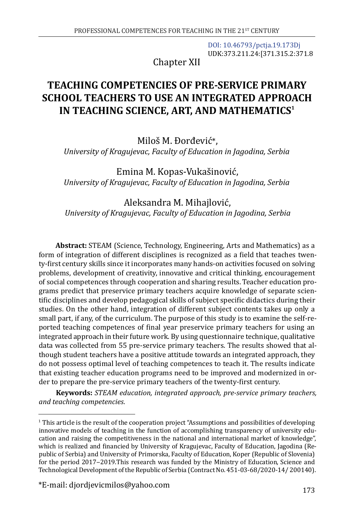[DOI: 10.46793/pctja.19.173Dj](https://doi.org/10.46793/pctja.19.173Dj) UDK:373.211.24:[371.315.2:371.8

Chapter XII

# **TEACHING COMPETENCIES OF PRE-SERVICE PRIMARY SCHOOL TEACHERS TO USE AN INTEGRATED APPROACH IN TEACHING SCIENCE, ART, AND MATHEMATICS<sup>1</sup>**

Miloš M. Đorđević\*, *University of Kragujevac, Faculty of Education in Jagodina, Serbia*

Emina M. Kopas-Vukašinović, *University of Kragujevac, Faculty of Education in Jagodina, Serbia*

Aleksandra M. Mihajlović,  *University of Kragujevac, Faculty of Education in Jagodina, Serbia*

**Abstract:** STEAM (Science, Technology, Engineering, Arts and Mathematics) as a form of integration of different disciplines is recognized as a field that teaches twenty-first century skills since it incorporates many hands-on activities focused on solving problems, development of creativity, innovative and critical thinking, encouragement of social competences through cooperation and sharing results. Teacher education programs predict that preservice primary teachers acquire knowledge of separate scientific disciplines and develop pedagogical skills of subject specific didactics during their studies. On the other hand, integration of different subject contents takes up only a small part, if any, of the curriculum. The purpose of this study is to examine the self-reported teaching competences of final year preservice primary teachers for using an integrated approach in their future work. By using questionnaire technique, qualitative data was collected from 55 pre-service primary teachers. The results showed that although student teachers have a positive attitude towards an integrated approach, they do not possess optimal level of teaching competences to teach it. The results indicate that existing teacher education programs need to be improved and modernized in order to prepare the pre-service primary teachers of the twenty-first century.

**Keywords:** *STEAM education, integrated approach, pre-service primary teachers, and teaching competencies*.

<sup>1</sup> This article is the result of the cooperation project "Assumptions and possibilities of developing innovative models of teaching in the function of accomplishing transparency of university education and raising the competitiveness in the national and international market of knowledge", which is realized and financied by University of Kragujevac, Faculty of Education, Jagodina (Republic of Serbia) and University of Primorska, Faculty of Education, Koper (Republic of Slovenia) for the period 2017–2019. This research was funded by the Ministry of Education, Science and Technological Development of the Republic of Serbia (Contract No. 451-03-68/2020-14/ 200140).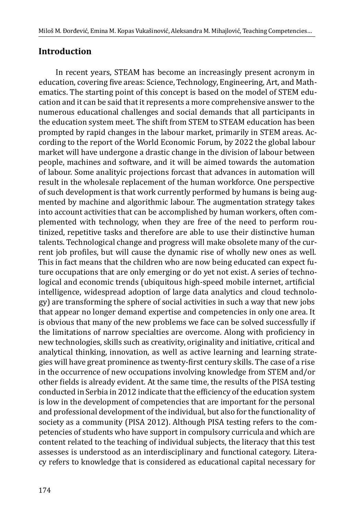### **Introduction**

In recent years, STEAM has become an increasingly present acronym in education, covering five areas: Science, Technology, Engineering, Art, and Mathematics. The starting point of this concept is based on the model of STEM education and it can be said that it represents a more comprehensive answer to the numerous educational challenges and social demands that all participants in the education system meet. The shift from STEM to STEAM education has been prompted by rapid changes in the labour market, primarily in STEM areas. According to the report of the World Economic Forum, by 2022 the global labour market will have undergone a drastic change in the division of labour between people, machines and software, and it will be aimed towards the automation of labour. Some analityic projections forcast that advances in automation will result in the wholesale replacement of the human workforce. One perspective of such development is that work currently performed by humans is being augmented by machine and algorithmic labour. The augmentation strategy takes into account activities that can be accomplished by human workers, often complemented with technology, when they are free of the need to perform routinized, repetitive tasks and therefore are able to use their distinctive human talents. Technological change and progress will make obsolete many of the current job profiles, but will cause the dynamic rise of wholly new ones as well. This in fact means that the children who are now being educated can expect future occupations that are only emerging or do yet not exist. A series of technological and economic trends (ubiquitous high-speed mobile internet, artificial intelligence, widespread adoption of large data analytics and cloud technology) are transforming the sphere of social activities in such a way that new jobs that appear no longer demand expertise and competencies in only one area. It is obvious that many of the new problems we face can be solved successfully if the limitations of narrow specialties are overcome. Along with proficiency in new technologies, skills such as creativity, originality and initiative, critical and analytical thinking, innovation, as well as active learning and learning strategies will have great prominence as twenty-first century skills. The case of a rise in the occurrence of new occupations involving knowledge from STEM and/or other fields is already evident. At the same time, the results of the PISA testing conducted in Serbia in 2012 indicate that the efficiency of the education system is low in the development of competencies that are important for the personal and professional development of the individual, but also for the functionality of society as a community (PISA 2012). Although PISA testing refers to the competencies of students who have support in compulsory curricula and which are content related to the teaching of individual subjects, the literacy that this test assesses is understood as an interdisciplinary and functional category. Literacy refers to knowledge that is considered as educational capital necessary for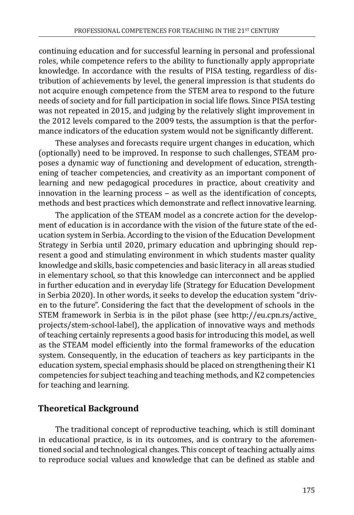continuing education and for successful learning in personal and professional roles, while competence refers to the ability to functionally apply appropriate knowledge. In accordance with the results of PISA testing, regardless of distribution of achievements by level, the general impression is that students do not acquire enough competence from the STEM area to respond to the future needs of society and for full participation in social life flows. Since PISA testing was not repeated in 2015, and judging by the relatively slight improvement in the 2012 levels compared to the 2009 tests, the assumption is that the performance indicators of the education system would not be significantly different.

These analyses and forecasts require urgent changes in education, which (optionally) need to be improved. In response to such challenges, STEAM proposes a dynamic way of functioning and development of education, strengthening of teacher competencies, and creativity as an important component of learning and new pedagogical procedures in practice, about creativity and innovation in the learning process  $-$  as well as the identification of concepts, methods and best practices which demonstrate and reflect innovative learning.

The application of the STEAM model as a concrete action for the development of education is in accordance with the vision of the future state of the education system in Serbia. According to the vision of the Education Development Strategy in Serbia until 2020, primary education and upbringing should represent a good and stimulating environment in which students master quality knowledge and skills, basic competencies and basic literacy in all areas studied in elementary school, so that this knowledge can interconnect and be applied in further education and in everyday life (Strategy for Education Development in Serbia 2020). In other words, it seeks to develop the education system "driven to the future". Considering the fact that the development of schools in the STEM framework in Serbia is in the pilot phase (see http://eu.cpn.rs/active\_ projects/stem-school-label), the application of innovative ways and methods of teaching certainly represents a good basis for introducing this model, as well as the STEAM model efficiently into the formal frameworks of the education system. Consequently, in the education of teachers as key participants in the education system, special emphasis should be placed on strengthening their K1 competencies for subject teaching and teaching methods, and K2 competencies for teaching and learning.

## **Theoretical Background**

The traditional concept of reproductive teaching, which is still dominant in educational practice, is in its outcomes, and is contrary to the aforementioned social and technological changes. This concept of teaching actually aims to reproduce social values and knowledge that can be defined as stable and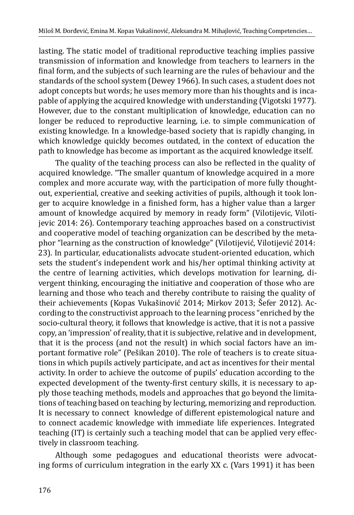lasting. The static model of traditional reproductive teaching implies passive transmission of information and knowledge from teachers to learners in the final form, and the subjects of such learning are the rules of behaviour and the standards of the school system (Dewey 1966). In such cases, a student does not adopt concepts but words; he uses memory more than his thoughts and is incapable of applying the acquired knowledge with understanding (Vigotski 1977). However, due to the constant multiplication of knowledge, education can no longer be reduced to reproductive learning, i.e. to simple communication of existing knowledge. In a knowledge-based society that is rapidly changing, in which knowledge quickly becomes outdated, in the context of education the path to knowledge has become as important as the acquired knowledge itself.

The quality of the teaching process can also be reflected in the quality of acquired knowledge. "The smaller quantum of knowledge acquired in a more complex and more accurate way, with the participation of more fully thoughtout, experiential, creative and seeking activities of pupils, although it took longer to acquire knowledge in a finished form, has a higher value than a larger amount of knowledge acquired by memory in ready form" (Vilotijevic, Vilotijevic 2014: 26). Contemporary teaching approaches based on a constructivist and cooperative model of teaching organization can be described by the metaphor "learning as the construction of knowledge" (Vilotijević, Vilotijević 2014: 23). In particular, educationalists advocate student-oriented education, which sets the student's independent work and his/her optimal thinking activity at the centre of learning activities, which develops motivation for learning, divergent thinking, encouraging the initiative and cooperation of those who are learning and those who teach and thereby contribute to raising the quality of their achievements (Kopas Vukašinović 2014; Mirkov 2013; Šefer 2012). According to the constructivist approach to the learning process "enriched by the socio-cultural theory, it follows that knowledge is active, that it is not a passive copy, an 'impression' of reality, that it is subjective, relative and in development, that it is the process (and not the result) in which social factors have an important formative role" (Pešikan 2010). The role of teachers is to create situations in which pupils actively participate, and act as incentives for their mental activity. In order to achieve the outcome of pupils' education according to the expected development of the twenty-first century skills, it is necessary to apply those teaching methods, models and approaches that go beyond the limitations of teaching based on teaching by lecturing, memorizing and reproduction. It is necessary to connect knowledge of different epistemological nature and to connect academic knowledge with immediate life experiences. Integrated teaching (IT) is certainly such a teaching model that can be applied very effectively in classroom teaching.

Although some pedagogues and educational theorists were advocating forms of curriculum integration in the early XX c. (Vars 1991) it has been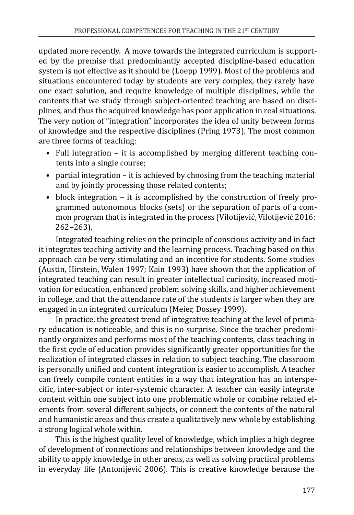updated more recently. A move towards the integrated curriculum is supported by the premise that predominantly accepted discipline-based education system is not effective as it should be (Loepp 1999). Most of the problems and situations encountered today by students are very complex, they rarely have one exact solution, and require knowledge of multiple disciplines, while the contents that we study through subject-oriented teaching are based on disciplines, and thus the acquired knowledge has poor application in real situations. The very notion of "integration" incorporates the idea of unity between forms of knowledge and the respective disciplines (Pring 1973). The most common are three forms of teaching:

- Full integration it is accomplished by merging different teaching contents into a single course;
- partial integration it is achieved by choosing from the teaching material and by jointly processing those related contents;
- block integration it is accomplished by the construction of freely programmed autonomous blocks (sets) or the separation of parts of a common program that is integrated in the process (Vilotijević, Vilotijević 2016:  $262 - 263$ ).

Integrated teaching relies on the principle of conscious activity and in fact it integrates teaching activity and the learning process. Teaching based on this approach can be very stimulating and an incentive for students. Some studies (Austin, Hirstein, Walen 1997; Kain 1993) have shown that the application of integrated teaching can result in greater intellectual curiosity, increased motivation for education, enhanced problem solving skills, and higher achievement in college, and that the attendance rate of the students is larger when they are engaged in an integrated curriculum (Meier, Dossey 1999).

In practice, the greatest trend of integrative teaching at the level of primary education is noticeable, and this is no surprise. Since the teacher predominantly organizes and performs most of the teaching contents, class teaching in the first cycle of education provides significantly greater opportunities for the realization of integrated classes in relation to subject teaching. The classroom is personally unified and content integration is easier to accomplish. A teacher can freely compile content entities in a way that integration has an interspecific, inter-subject or inter-systemic character. A teacher can easily integrate content within one subject into one problematic whole or combine related elements from several different subjects, or connect the contents of the natural and humanistic areas and thus create a qualitatively new whole by establishing a strong logical whole within.

This is the highest quality level of knowledge, which implies a high degree of development of connections and relationships between knowledge and the ability to apply knowledge in other areas, as well as solving practical problems in everyday life (Antonijević 2006). This is creative knowledge because the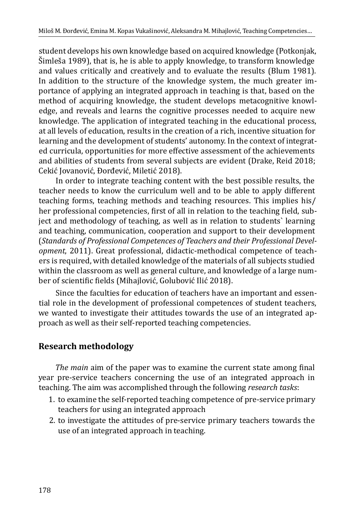student develops his own knowledge based on acquired knowledge (Potkonjak, Šimleša 1989), that is, he is able to apply knowledge, to transform knowledge and values critically and creatively and to evaluate the results (Blum 1981). In addition to the structure of the knowledge system, the much greater importance of applying an integrated approach in teaching is that, based on the method of acquiring knowledge, the student develops metacognitive knowledge, and reveals and learns the cognitive processes needed to acquire new knowledge. The application of integrated teaching in the educational process, at all levels of education, results in the creation of a rich, incentive situation for learning and the development of students' autonomy. In the context of integrated curricula, opportunities for more effective assessment of the achievements and abilities of students from several subjects are evident (Drake, Reid 2018; Cekić Jovanović, Đorđević, Miletić 2018).

In order to integrate teaching content with the best possible results, the teacher needs to know the curriculum well and to be able to apply different teaching forms, teaching methods and teaching resources. This implies his/ her professional competencies, first of all in relation to the teaching field, subject and methodology of teaching, as well as in relation to students` learning and teaching, communication, cooperation and support to their development (*Standards of Professional Competences of Teachers and their Professional Development*, 2011). Great professional, didactic-methodical competence of teachers is required, with detailed knowledge of the materials of all subjects studied within the classroom as well as general culture, and knowledge of a large number of scientific fields (Mihajlović, Golubović Ilić 2018).

Since the faculties for education of teachers have an important and essential role in the development of professional competences of student teachers, we wanted to investigate their attitudes towards the use of an integrated approach as well as their self-reported teaching competencies.

## **Research methodology**

*The main* aim of the paper was to examine the current state among final year pre-service teachers concerning the use of an integrated approach in teaching. The aim was accomplished through the following *research tasks*:

- 1. to examine the self-reported teaching competence of pre-service primary teachers for using an integrated approach
- 2. to investigate the attitudes of pre-service primary teachers towards the use of an integrated approach in teaching.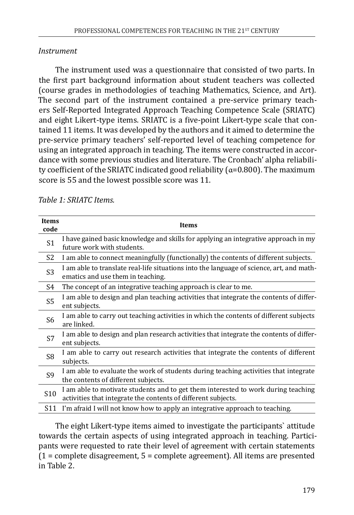#### *Instrument*

The instrument used was a questionnaire that consisted of two parts. In the first part background information about student teachers was collected (course grades in methodologies of teaching Mathematics, Science, and Art). The second part of the instrument contained a pre-service primary teachers Self-Reported Integrated Approach Teaching Competence Scale (SRIATC) and eight Likert-type items. SRIATC is a five-point Likert-type scale that contained 11 items. It was developed by the authors and it aimed to determine the pre-service primary teachers' self-reported level of teaching competence for using an integrated approach in teaching. The items were constructed in accordance with some previous studies and literature. The Cronbach' alpha reliability coefficient of the SRIATC indicated good reliability ( $\alpha$ =0.800). The maximum score is 55 and the lowest possible score was 11.

| <b>Items</b><br>code | <b>Items</b>                                                                                                                                       |
|----------------------|----------------------------------------------------------------------------------------------------------------------------------------------------|
| S <sub>1</sub>       | I have gained basic knowledge and skills for applying an integrative approach in my<br>future work with students.                                  |
| S2                   | I am able to connect meaningfully (functionally) the contents of different subjects.                                                               |
| S <sub>3</sub>       | I am able to translate real-life situations into the language of science, art, and math-<br>ematics and use them in teaching.                      |
| S4                   | The concept of an integrative teaching approach is clear to me.                                                                                    |
| S <sub>5</sub>       | I am able to design and plan teaching activities that integrate the contents of differ-<br>ent subjects.                                           |
| S6                   | I am able to carry out teaching activities in which the contents of different subjects<br>are linked.                                              |
| S7                   | I am able to design and plan research activities that integrate the contents of differ-<br>ent subjects.                                           |
| S8                   | I am able to carry out research activities that integrate the contents of different<br>subjects.                                                   |
| S <sub>9</sub>       | I am able to evaluate the work of students during teaching activities that integrate<br>the contents of different subjects.                        |
| S <sub>10</sub>      | I am able to motivate students and to get them interested to work during teaching<br>activities that integrate the contents of different subjects. |
| S11                  | I'm afraid I will not know how to apply an integrative approach to teaching.                                                                       |

*Table 1: SRIATC Items.*

The eight Likert-type items aimed to investigate the participants` attitude towards the certain aspects of using integrated approach in teaching. Participants were requested to rate their level of agreement with certain statements (1 = complete disagreement, 5 = complete agreement). All items are presented in Table 2.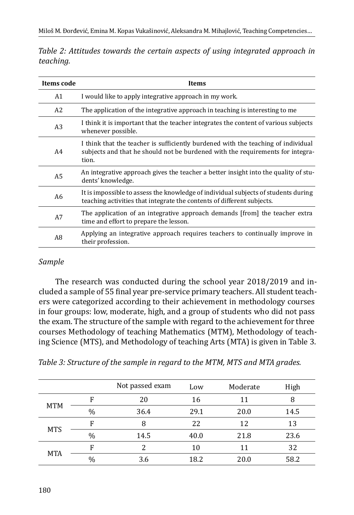| Items code     | Items                                                                                                                                                                        |
|----------------|------------------------------------------------------------------------------------------------------------------------------------------------------------------------------|
| A1             | I would like to apply integrative approach in my work.                                                                                                                       |
| A2             | The application of the integrative approach in teaching is interesting to me                                                                                                 |
| A <sub>3</sub> | I think it is important that the teacher integrates the content of various subjects<br>whenever possible.                                                                    |
| A4             | I think that the teacher is sufficiently burdened with the teaching of individual<br>subjects and that he should not be burdened with the requirements for integra-<br>tion. |
| A <sub>5</sub> | An integrative approach gives the teacher a better insight into the quality of stu-<br>dents' knowledge.                                                                     |
| A6             | It is impossible to assess the knowledge of individual subjects of students during<br>teaching activities that integrate the contents of different subjects.                 |
| A7             | The application of an integrative approach demands [from] the teacher extra<br>time and effort to prepare the lesson.                                                        |
| A8             | Applying an integrative approach requires teachers to continually improve in<br>their profession.                                                                            |

*Table 2: Attitudes towards the certain aspects of using integrated approach in teaching.*

#### *Sample*

The research was conducted during the school year 2018/2019 and included a sample of 55 final year pre-service primary teachers. All student teachers were categorized according to their achievement in methodology courses in four groups: low, moderate, high, and a group of students who did not pass the exam. The structure of the sample with regard to the achievement for three courses Methodology of teaching Mathematics (MTM), Methodology of teaching Science (MTS), and Methodology of teaching Arts (MTA) is given in Table 3.

|            |      | Not passed exam | Low  | Moderate | High |
|------------|------|-----------------|------|----------|------|
|            | F    | 20              | 16   | 11       | 8    |
| <b>MTM</b> | $\%$ | 36.4            | 29.1 | 20.0     | 14.5 |
|            | F    | 8               | 22   | 12       | 13   |
| <b>MTS</b> | $\%$ | 14.5            | 40.0 | 21.8     | 23.6 |
|            | F    | $\mathcal{P}$   | 10   | 11       | 32   |
| <b>MTA</b> | $\%$ | 3.6             | 18.2 | 20.0     | 58.2 |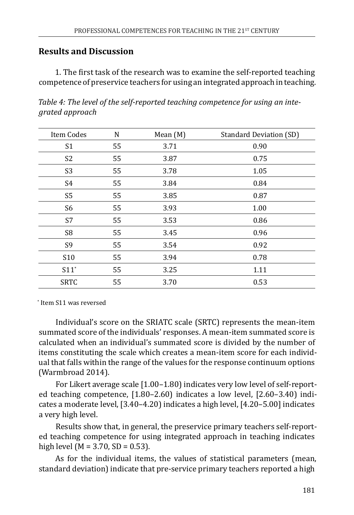### **Results and Discussion**

1. The first task of the research was to examine the self-reported teaching competence of preservice teachers for using an integrated approach in teaching.

| Item Codes         | N  | Mean (M) | <b>Standard Deviation (SD)</b> |
|--------------------|----|----------|--------------------------------|
| S <sub>1</sub>     | 55 | 3.71     | 0.90                           |
| S <sub>2</sub>     | 55 | 3.87     | 0.75                           |
| S <sub>3</sub>     | 55 | 3.78     | 1.05                           |
| S <sub>4</sub>     | 55 | 3.84     | 0.84                           |
| S <sub>5</sub>     | 55 | 3.85     | 0.87                           |
| S <sub>6</sub>     | 55 | 3.93     | 1.00                           |
| S7                 | 55 | 3.53     | 0.86                           |
| S8                 | 55 | 3.45     | 0.96                           |
| S9                 | 55 | 3.54     | 0.92                           |
| S10                | 55 | 3.94     | 0.78                           |
| $S11$ <sup>*</sup> | 55 | 3.25     | 1.11                           |
| <b>SRTC</b>        | 55 | 3.70     | 0.53                           |

*Table 4: The level of the self-reported teaching competence for using an integrated approach*

\* Item S11 was reversed

Individual's score on the SRIATC scale (SRTC) represents the mean-item summated score of the individuals' responses. A mean-item summated score is calculated when an individual's summated score is divided by the number of items constituting the scale which creates a mean-item score for each individual that falls within the range of the values for the response continuum options (Warmbroad 2014).

For Likert average scale [1.00–1.80) indicates very low level of self-reported teaching competence, [1.80–2.60) indicates a low level, [2.60–3.40) indicates a moderate level, [3.40–4.20) indicates a high level, [4.20–5.00] indicates a very high level.

Results show that, in general, the preservice primary teachers self-reported teaching competence for using integrated approach in teaching indicates high level ( $M = 3.70$ ,  $SD = 0.53$ ).

As for the individual items, the values of statistical parameters (mean, standard deviation) indicate that pre-service primary teachers reported a high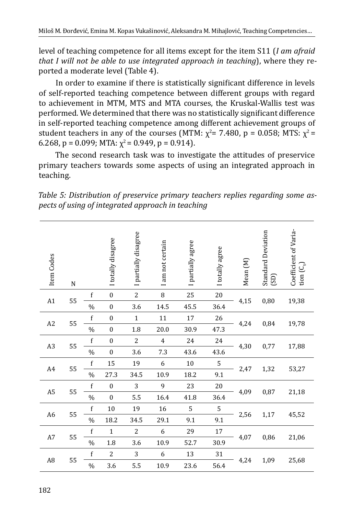level of teaching competence for all items except for the item S11 (*I am afraid that I will not be able to use integrated approach in teaching*), where they reported a moderate level (Table 4).

In order to examine if there is statistically significant difference in levels of self-reported teaching competence between different groups with regard to achievement in MTM, MTS and MTA courses, the Kruskal-Wallis test was performed. We determined that there was no statistically significant difference in self-reported teaching competence among different achievement groups of student teachers in any of the courses (MTM:  $\chi^2$ = 7.480, p = 0.058; MTS:  $\chi^2$  = 6.268, p = 0.099; MTA:  $\chi^2$  = 0.949, p = 0.914).

The second research task was to investigate the attitudes of preservice primary teachers towards some aspects of using an integrated approach in teaching.

|  | Table 5: Distribution of preservice primary teachers replies regarding some as- |  |  |  |
|--|---------------------------------------------------------------------------------|--|--|--|
|  | pects of using of integrated approach in teaching                               |  |  |  |

| Item Codes     | ${\bf N}$ |             | I totally disagree | I partially disagree | I am not certain | I partially agree | I totally agree | Mean (M) | Standard Deviation<br>(SD) | Coefficient of Varia-<br>tion $(C_v)$ |
|----------------|-----------|-------------|--------------------|----------------------|------------------|-------------------|-----------------|----------|----------------------------|---------------------------------------|
| A1             | 55        | f           | $\boldsymbol{0}$   | $\overline{c}$       | 8                | 25                | $20\,$          | 4,15     | 0,80                       | 19,38                                 |
|                |           | $\%$        | $\boldsymbol{0}$   | 3.6                  | 14.5             | 45.5              | 36.4            |          |                            |                                       |
| A2             | 55        | f           | $\mathbf{0}$       | $\mathbf{1}$         | 11               | 17                | 26              | 4,24     | 0,84                       | 19,78                                 |
|                |           | $\%$        | $\boldsymbol{0}$   | $1.8\,$              | 20.0             | 30.9              | 47.3            |          |                            |                                       |
| A <sub>3</sub> | 55        | $\mathbf f$ | $\mathbf{0}$       | $\overline{2}$       | $\overline{4}$   | 24                | 24              | 4,30     | 0,77                       | 17,88                                 |
|                |           | $\%$        | $\boldsymbol{0}$   | 3.6                  | 7.3              | 43.6              | 43.6            |          |                            |                                       |
| A4             | 55        | f           | 15                 | 19                   | 6                | 10                | 5               | 2,47     | 1,32                       | 53,27                                 |
|                |           | $\%$        | 27.3               | 34.5                 | 10.9             | 18.2              | 9.1             |          |                            |                                       |
| A5             | 55        | $\mathbf f$ | $\mathbf{0}$       | 3                    | 9                | 23                | 20              | 4,09     | 0,87                       | 21,18                                 |
|                |           | $\%$        | $\mathbf{0}$       | 5.5                  | 16.4             | 41.8              | 36.4            |          |                            |                                       |
| A <sub>6</sub> | 55        | f           | $10\,$             | 19                   | 16               | 5                 | 5               | 2,56     | 1,17                       | 45,52                                 |
|                |           | $\%$        | 18.2               | 34.5                 | 29.1             | 9.1               | 9.1             |          |                            |                                       |
| A7             | 55        | f           | $\mathbf{1}$       | 2                    | 6                | 29                | 17              | 4,07     | 0,86                       | 21,06                                 |
|                |           | $\%$        | 1.8                | 3.6                  | 10.9             | 52.7              | 30.9            |          |                            |                                       |
| A <sub>8</sub> | 55        | f           | 2                  | 3                    | 6                | 13                | 31              | 4,24     | 1,09                       | 25,68                                 |
|                |           | $\%$        | 3.6                | 5.5                  | 10.9             | 23.6              | 56.4            |          |                            |                                       |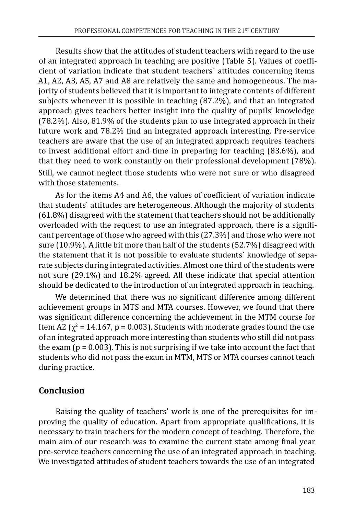Results show that the attitudes of student teachers with regard to the use of an integrated approach in teaching are positive (Table 5). Values of coefficient of variation indicate that student teachers` attitudes concerning items A1, A2, A3, A5, A7 and A8 are relatively the same and homogeneous. The majority of students believed that it is important to integrate contents of different subjects whenever it is possible in teaching (87.2%), and that an integrated approach gives teachers better insight into the quality of pupils' knowledge (78.2%). Also, 81.9% of the students plan to use integrated approach in their future work and 78.2% find an integrated approach interesting. Pre-service teachers are aware that the use of an integrated approach requires teachers to invest additional effort and time in preparing for teaching (83.6%), and that they need to work constantly on their professional development (78%). Still, we cannot neglect those students who were not sure or who disagreed with those statements.

As for the items A4 and A6, the values of coefficient of variation indicate that students` attitudes are heterogeneous. Although the majority of students (61.8%) disagreed with the statement that teachers should not be additionally overloaded with the request to use an integrated approach, there is a significant percentage of those who agreed with this (27.3%) and those who were not sure (10.9%). A little bit more than half of the students (52.7%) disagreed with the statement that it is not possible to evaluate students` knowledge of separate subjects during integrated activities. Almost one third of the students were not sure (29.1%) and 18.2% agreed. All these indicate that special attention should be dedicated to the introduction of an integrated approach in teaching.

We determined that there was no significant difference among different achievement groups in MTS and MTA courses. However, we found that there was significant difference concerning the achievement in the MTM course for Item A2 ( $\chi^2$  = 14.167, p = 0.003). Students with moderate grades found the use of an integrated approach more interesting than students who still did not pass the exam  $(p = 0.003)$ . This is not surprising if we take into account the fact that students who did not pass the exam in MTM, MTS or MTA courses cannot teach during practice.

## **Conclusion**

Raising the quality of teachers' work is one of the prerequisites for improving the quality of education. Apart from appropriate qualifications, it is necessary to train teachers for the modern concept of teaching. Therefore, the main aim of our research was to examine the current state among final year pre-service teachers concerning the use of an integrated approach in teaching. We investigated attitudes of student teachers towards the use of an integrated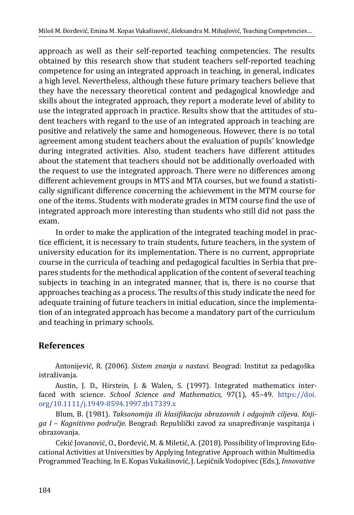approach as well as their self-reported teaching competencies. The results obtained by this research show that student teachers self-reported teaching competence for using an integrated approach in teaching, in general, indicates a high level. Nevertheless, although these future primary teachers believe that they have the necessary theoretical content and pedagogical knowledge and skills about the integrated approach, they report a moderate level of ability to use the integrated approach in practice. Results show that the attitudes of student teachers with regard to the use of an integrated approach in teaching are positive and relatively the same and homogeneous. However, there is no total agreement among student teachers about the evaluation of pupils' knowledge during integrated activities. Also, student teachers have different attitudes about the statement that teachers should not be additionally overloaded with the request to use the integrated approach. There were no differences among different achievement groups in MTS and MTA courses, but we found a statistically significant difference concerning the achievement in the MTM course for one of the items. Students with moderate grades in MTM course find the use of integrated approach more interesting than students who still did not pass the exam.

In order to make the application of the integrated teaching model in practice efficient, it is necessary to train students, future teachers, in the system of university education for its implementation. There is no current, appropriate course in the curricula of teaching and pedagogical faculties in Serbia that prepares students for the methodical application of the content of several teaching subjects in teaching in an integrated manner, that is, there is no course that approaches teaching as a process. The results of this study indicate the need for adequate training of future teachers in initial education, since the implementation of an integrated approach has become a mandatory part of the curriculum and teaching in primary schools.

## **References**

Antonijević, R. (2006). *Sistem znanja u nastavi*. Beograd: Institut za pedagoška istraživanja.

Austin, J. D., Hirstein, J. & Walen, S. (1997). Integrated mathematics interfaced with science. *School Science and Mathematics*, 97(1), 45–49. [https://doi.](https://doi.org/10.1111/j.1949-8594.1997.tb17339.x) [org/10.1111/j.1949-8594.1997.tb17339.x](https://doi.org/10.1111/j.1949-8594.1997.tb17339.x)

Blum, B. (1981). *Taksonomija ili klasifikacija obrazovnih i odgojnih cilјeva*. *Knjiga I – Kognitivno područje*. Beograd: Republički zavod za unapređivanje vaspitanja i obrazovanja.

Cekić Jovanović, O., Đorđević, M. & Miletić, A. (2018). Possibility of Improving Educational Activities at Universities by Applying Integrative Approach within Multimedia Programmed Teaching. In E. Kopas Vukašinović, J. Lepičnik Vodopivec (Eds.), *Innovative*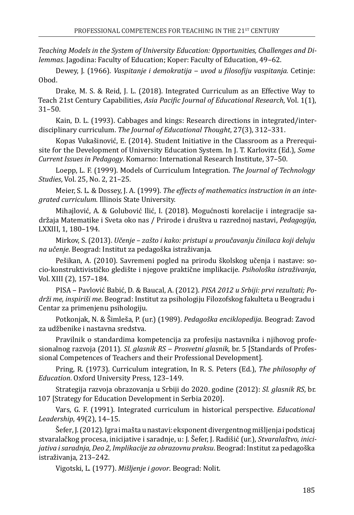*Teaching Models in the System of University Education: Opportunities, Challenges and Dilemmas*. Jagodina: Faculty of Education; Koper: Faculty of Education, 49–62.

Dewey, J. (1966). *Vaspitanje i demokratija ‒ uvod u filosofiju vaspitanja.* Cetinje: Obod.

Drake, M. S. & Reid, J. L. (2018). Integrated Curriculum as an Effective Way to Teach 21st Century Capabilities, *Asia Pacific Journal of Educational Research*, Vol. 1(1), 31–50.

Kain, D. L. (1993). Cabbages and kings: Research directions in integrated/interdisciplinary curriculum. *The Journal of Educational Thought*, 27(3), 312–331.

Kopas Vukašinović, E. (2014). Student Initiative in the Classroom as a Prerequisite for the Development of University Education System. In J. T. Karlovitz (Ed.), *Some Current Issues in Pedagogy*. Komarno: International Research Institute, 37–50.

Loepp, L. F. (1999). Models of Curriculum Integration. *The Journal of Technology Studies*, Vol. 25, No. 2, 21–25.

Meier, S. L. & Dossey, J. A. (1999). *The effects of mathematics instruction in an integrated curriculum*. Illinois State University.

Mihajlović, A. & Golubović Ilić, I. (2018). Mogućnosti korelacije i integracije sadržaja Matematike i Sveta oko nas / Prirode i društva u razrednoj nastavi, *Pedagogija*, LXXIII, 1, 180–194.

Mirkov, S. (2013). *Učenje – zašto i kako: pristupi u proučavanju činilaca koji deluju na učenje*. Beograd: Institut za pedagoška istraživanja.

Pešikan, A. (2010). Savremeni pogled na prirodu školskog učenja i nastave: socio-konstruktivističko gledište i njegove praktične implikacije. *Psihološka istraživanja*, Vol. XIII (2), 157–184.

PISA ‒ Pavlović Babić, D. & Baucal, A. (2012). *PISA 2012 u Srbiji: prvi rezultati; Podrži me, inspiriši me*. Beograd: Institut za psihologiju Filozofskog fakulteta u Beogradu i Centar za primenjenu psihologiju.

Potkonjak, N. & Šimleša, P. (ur.) (1989). *Pedagoška enciklopedija*. Beograd: Zavod za udžbenike i nastavna sredstva.

Pravilnik o standardima kompetencija za profesiju nastavnika i njihovog profesionalnog razvoja (2011). *Sl. glasnik RS ‒ Prosvetni glasnik*, br. 5 [Standards of Professional Competences of Teachers and their Professional Development].

Pring, R. (1973). Curriculum integration, In R. S. Peters (Ed.), *The philosophy of Education*. Oxford University Press, 123–149.

Strategija razvoja obrazovanja u Srbiji do 2020. godine (2012): *Sl. glasnik RS*, br. 107 [Strategy for Education Development in Serbia 2020].

Vars, G. F. (1991). Integrated curriculum in historical perspective. *Educational Leadership*, 49(2), 14–15.

Šefer, J. (2012). Igra i mašta u nastavi: eksponent divergentnog mišljenja i podsticaj stvaralačkog procesa, inicijative i saradnje, u: J. Šefer, J. Radišić (ur.), *Stvaralaštvo, inicijativa i saradnja, Deo 2, Implikacije za obrazovnu praksu*. Beograd: Institut za pedagoška istraživanja, 213–242.

Vigotski, L. (1977). *Mišljenje i govor*. Beograd: Nolit.